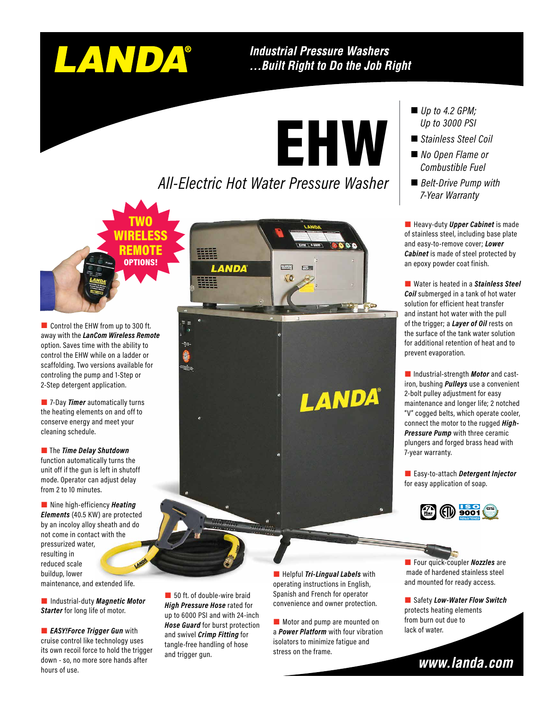

TWO WIRELESS REMOTE OPTIONS!

#### **Industrial Pressure Washers** ...Built Right to Do the Job Right

EHW

### *All-Electric Hot Water Pressure Washer*

Control the EHW from up to 300 ft. away with the *LanCom Wireless Remote*  option. Saves time with the ability to control the EHW while on a ladder or scaffolding. Two versions available for controling the pump and 1-Step or 2-Step detergent application.

**7-Day Timer** automatically turns the heating elements on and off to conserve energy and meet your cleaning schedule.

**1** The **Time Delay Shutdown 1980 Contract to the** *Time Delay Shutdown**T***-year warranty.** function automatically turns the unit off if the gun is left in shutoff mode. Operator can adjust delay from 2 to 10 minutes.

**Nine high-efficiency** *Heating Elements* (40.5 KW) are protected by an incoloy alloy sheath and do not come in contact with the pressurized water, resulting in reduced scale buildup, lower

maintenance, and extended life.

**Starter** for long life of motor.

**EASY!Force Trigger Gun** with cruise control like technology uses its own recoil force to hold the trigger down - so, no more sore hands after hours of use.

**LANDA** 

# LANDA®

- *Up to 4.2 GPM; Up to 3000 PSI*
- *Stainless Steel Coil*
- *No Open Flame or Combustible Fuel*
- *Belt-Drive Pump with 7-Year Warranty*

**Heavy-duty Upper Cabinet** is made of stainless steel, including base plate and easy-to-remove cover; *Lower Cabinet* is made of steel protected by an epoxy powder coat finish.

■ Water is heated in a *Stainless Steel Coil* submerged in a tank of hot water solution for efficient heat transfer and instant hot water with the pull of the trigger; a *Layer of Oil* rests on the surface of the tank water solution for additional retention of heat and to prevent evaporation.

 Industrial-strength *Motor* and castiron, bushing *Pulleys* use a convenient 2-bolt pulley adjustment for easy maintenance and longer life; 2 notched "V" cogged belts, which operate cooler, connect the motor to the rugged *High-Pressure Pump* with three ceramic plungers and forged brass head with

 Easy-to-attach *Detergent Injector*  for easy application of soap.



50 ft. of double-wire braid *High Pressure Hose* rated for up to 6000 PSI and with 24-inch *Hose Guard* for burst protection and swivel *Crimp Fitting* for tangle-free handling of hose and trigger gun.

**Helpful Tri-Lingual Labels** with operating instructions in English, Spanish and French for operator **Example 20 Across Convenience and overcent protection.**<br>**Example 20 Across United Pressure Hose** rated for convenience and owner protection.

> Motor and pump are mounted on a *Power Platform* with four vibration isolators to minimize fatigue and stress on the frame.

**Four quick-coupler** *Nozzles* are made of hardened stainless steel and mounted for ready access.

■ Safety *Low-Water Flow Switch* protects heating elements from burn out due to lack of water.

www.landa.com